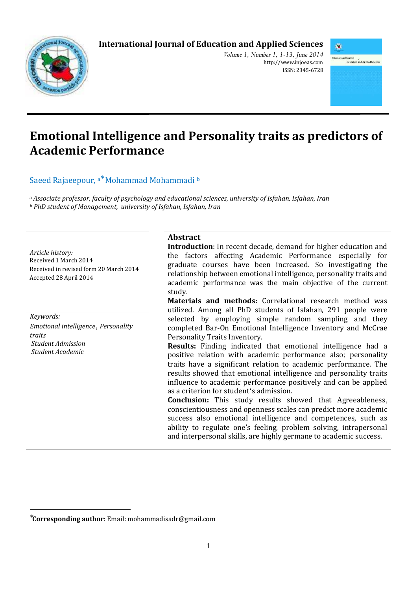# **International Journal of Education and Applied Sciences**



*Volume 1, Number 1, 1-13, June 2014*  http://www.injoeas.com ISSN: 2345-6728



# **Emotional Intelligence and Personality traits as predictors of Academic Performance**

Saeed Rajaeepour, <sup>a\*</sup> Mohammad Mohammadi b

<sup>a</sup>*Associate professor, faculty of psychology and educational sciences, university of Isfahan, Isfahan, Iran <sup>b</sup> PhD student of Management, university of Isfahan, Isfahan, Iran* 

*Article history:*  Received 1 March 2014 Received in revised form 20 March 2014 Accepted 28 April 2014

*Keywords: Emotional intelligence*, *Personality traits Student Admission Student Academic* 

 $\overline{a}$ 

# **Abstract**

**Introduction**: In recent decade, demand for higher education and the factors affecting Academic Performance especially for graduate courses have been increased. So investigating the relationship between emotional intelligence, personality traits and academic performance was the main objective of the current study.

**Materials and methods:** Correlational research method was utilized. Among all PhD students of Isfahan, 291 people were selected by employing simple random sampling and they completed Bar-On Emotional Intelligence Inventory and McCrae Personality Traits Inventory.

**Results:** Finding indicated that emotional intelligence had a positive relation with academic performance also; personality traits have a significant relation to academic performance. The results showed that emotional intelligence and personality traits influence to academic performance positively and can be applied as a criterion for student's admission.

**Conclusion:** This study results showed that Agreeableness, conscientiousness and openness scales can predict more academic success also emotional intelligence and competences, such as ability to regulate one's feeling, problem solving, intrapersonal and interpersonal skills, are highly germane to academic success.

<sup>∗</sup> **Corresponding author**: Email: mohammadisadr@gmail.com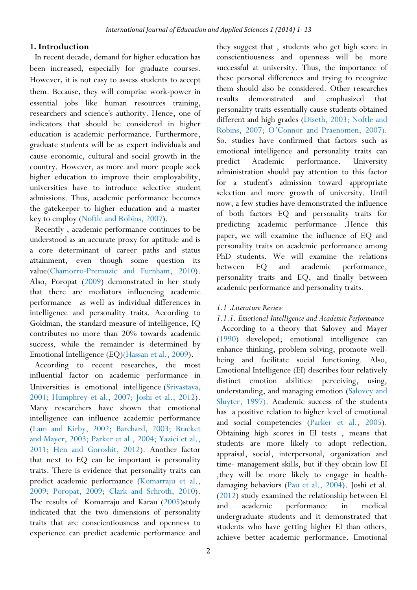## **1. Introduction**

In recent decade, demand for higher education has been increased, especially for graduate courses. However, it is not easy to assess students to accept them. Because, they will comprise work-power in essential jobs like human resources training, researchers and science's authority. Hence, one of indicators that should be considered in higher education is academic performance. Furthermore, graduate students will be as expert individuals and cause economic, cultural and social growth in the country. However, as more and more people seek higher education to improve their employability, universities have to introduce selective student admissions. Thus, academic performance becomes the gatekeeper to higher education and a master key to employ (Noftle and Robins, 2007).

Recently , academic performance continues to be understood as an accurate proxy for aptitude and is a core determinant of career paths and status attainment, even though some question its value(Chamorro-Premuzic and Furnham, 2010). Also, Poropat (2009) demonstrated in her study that there are mediators influencing academic performance as well as individual differences in intelligence and personality traits. According to Goldman, the standard measure of intelligence, IQ contributes no more than 20% towards academic success, while the remainder is determined by Emotional Intelligence (EQ)(Hassan et al., 2009).

According to recent researches, the most influential factor on academic performance in Universities is emotional intelligence (Srivastava, 2001; Humphrey et al., 2007; Joshi et al., 2012). Many researchers have shown that emotional intelligence can influence academic performance (Lam and Kirby, 2002; Barchard, 2003; Bracket and Mayer, 2003; Parker et al., 2004; Yazici et al., 2011; Hen and Goroshit, 2012). Another factor that next to EQ can be important is personality traits. There is evidence that personality traits can predict academic performance (Komarraju et al., 2009; Poropat, 2009; Clark and Schroth, 2010). The results of Komarraju and Karau (2005)study indicated that the two dimensions of personality traits that are conscientiousness and openness to experience can predict academic performance and

they suggest that , students who get high score in conscientiousness and openness will be more successful at university. Thus, the importance of these personal differences and trying to recognize them should also be considered. Other researches results demonstrated and emphasized that personality traits essentially cause students obtained different and high grades (Diseth, 2003; Noftle and Robins, 2007; O'Connor and Praenomen, 2007). So, studies have confirmed that factors such as emotional intelligence and personality traits can predict Academic performance. University administration should pay attention to this factor for a student's admission toward appropriate selection and more growth of university. Until now, a few studies have demonstrated the influence of both factors EQ and personality traits for predicting academic performance .Hence this paper, we will examine the influence of EQ and personality traits on academic performance among PhD students. We will examine the relations between EQ and academic performance, personality traits and EQ, and finally between academic performance and personality traits.

## *1.1* .*Literature Review*

# *1.1.1. Emotional Intelligence and Academic Performance*

According to a theory that Salovey and Mayer (1990) developed; emotional intelligence can enhance thinking, problem solving, promote wellbeing and facilitate social functioning. Also, Emotional Intelligence (EI) describes four relatively distinct emotion abilities: perceiving, using, understanding, and managing emotion (Salovey and Sluyter, 1997). Academic success of the students has a positive relation to higher level of emotional and social competencies (Parker et al., 2005). Obtaining high scores in EI tests , means that students are more likely to adopt reflection, appraisal, social, interpersonal, organization and time- management skills, but if they obtain low EI ,they will be more likely to engage in healthdamaging behaviors (Pau et al., 2004). Joshi et al. (2012) study examined the relationship between EI and academic performance in medical undergraduate students and it demonstrated that students who have getting higher EI than others, achieve better academic performance. Emotional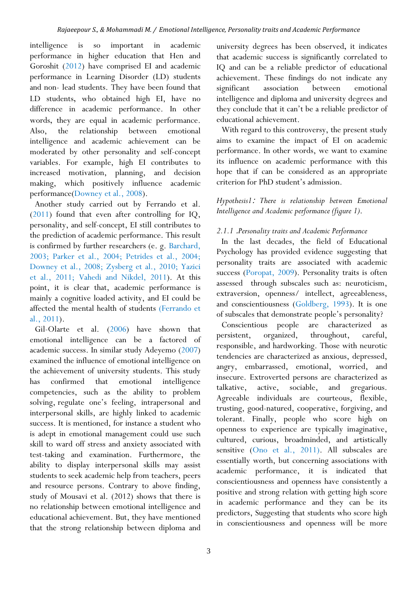intelligence is so important in academic performance in higher education that Hen and Goroshit (2012) have comprised EI and academic performance in Learning Disorder (LD) students and non- lead students. They have been found that LD students, who obtained high EI, have no difference in academic performance. In other words, they are equal in academic performance. Also, the relationship between emotional intelligence and academic achievement can be moderated by other personality and self-concept variables. For example, high EI contributes to increased motivation, planning, and decision making, which positively influence academic performance(Downey et al., 2008).

Another study carried out by Ferrando et al. (2011) found that even after controlling for IQ, personality, and self-concept, EI still contributes to the prediction of academic performance. This result is confirmed by further researchers (e. g. Barchard, 2003; Parker et al., 2004; Petrides et al., 2004; Downey et al., 2008; Zysberg et al., 2010; Yazici et al., 2011; Vahedi and Nikdel, 2011). At this point, it is clear that, academic performance is mainly a cognitive loaded activity, and EI could be affected the mental health of students (Ferrando et al., 2011).

Gil-Olarte et al. (2006) have shown that emotional intelligence can be a factored of academic success. In similar study Adeyemo (2007) examined the influence of emotional intelligence on the achievement of university students. This study has confirmed that emotional intelligence competencies, such as the ability to problem solving, regulate one's feeling, intrapersonal and interpersonal skills, are highly linked to academic success. It is mentioned, for instance a student who is adept in emotional management could use such skill to ward off stress and anxiety associated with test-taking and examination. Furthermore, the ability to display interpersonal skills may assist students to seek academic help from teachers, peers and resource persons. Contrary to above finding, study of Mousavi et al. (2012) shows that there is no relationship between emotional intelligence and educational achievement. But, they have mentioned that the strong relationship between diploma and

university degrees has been observed, it indicates that academic success is significantly correlated to IQ and can be a reliable predictor of educational achievement. These findings do not indicate any significant association between emotional intelligence and diploma and university degrees and they conclude that it can't be a reliable predictor of educational achievement.

With regard to this controversy, the present study aims to examine the impact of EI on academic performance. In other words, we want to examine its influence on academic performance with this hope that if can be considered as an appropriate criterion for PhD student's admission.

*Hypothesis1*: *There is relationship between Emotional Intelligence and Academic performance (figure 1)*.

# *2.1.1* .*Personality traits and Academic Performance*

In the last decades, the field of Educational Psychology has provided evidence suggesting that personality traits are associated with academic success (Poropat, 2009). Personality traits is often assessed through subscales such as: neuroticism, extraversion, openness/ intellect, agreeableness, and conscientiousness (Goldberg, 1993). It is one of subscales that demonstrate people's personality?

Conscientious people are characterized as persistent, organized, throughout, careful, responsible, and hardworking. Those with neurotic tendencies are characterized as anxious, depressed, angry, embarrassed, emotional, worried, and insecure. Extroverted persons are characterized as talkative, active, sociable, and gregarious. Agreeable individuals are courteous, flexible, trusting, good-natured, cooperative, forgiving, and tolerant. Finally, people who score high on openness to experience are typically imaginative, cultured, curious, broadminded, and artistically sensitive (Ono et al., 2011). All subscales are essentially worth, but concerning associations with academic performance, it is indicated that conscientiousness and openness have consistently a positive and strong relation with getting high score in academic performance and they can be its predictors, Suggesting that students who score high in conscientiousness and openness will be more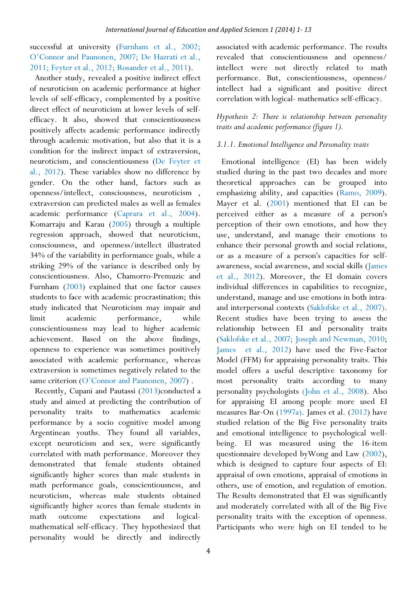successful at university (Furnham et al., 2002; O'Connor and Paunonen, 2007; De Hazrati et al., 2011; Feyter et al., 2012; Rosander et al., 2011).

Another study, revealed a positive indirect effect of neuroticism on academic performance at higher levels of self-efficacy, complemented by a positive direct effect of neuroticism at lower levels of selfefficacy. It also, showed that conscientiousness positively affects academic performance indirectly through academic motivation, but also that it is a condition for the indirect impact of extraversion, neuroticism, and conscientiousness (De Feyter et al., 2012). These variables show no difference by gender. On the other hand, factors such as openness/intellect, consciousness, neuroticism , extraversion can predicted males as well as females academic performance (Caprara et al., 2004). Komarraju and Karau (2005) through a multiple regression approach, showed that neuroticism, consciousness, and openness/intellect illustrated 34% of the variability in performance goals, while a striking 29% of the variance is described only by conscientiousness. Also, Chamorro-Premuzic and Furnham (2003) explained that one factor causes students to face with academic procrastination; this study indicated that Neuroticism may impair and limit academic performance, while conscientiousness may lead to higher academic achievement. Based on the above findings, openness to experience was sometimes positively associated with academic performance, whereas extraversion is sometimes negatively related to the same criterion (O'Connor and Paunonen, 2007).

Recently, Cupani and Pautassi (2013)conducted a study and aimed at predicting the contribution of personality traits to mathematics academic performance by a socio cognitive model among Argentinean youths. They found all variables, except neuroticism and sex, were significantly correlated with math performance. Moreover they demonstrated that female students obtained significantly higher scores than male students in math performance goals, conscientiousness, and neuroticism, whereas male students obtained significantly higher scores than female students in math outcome expectations and logicalmathematical self-efficacy. They hypothesized that personality would be directly and indirectly

associated with academic performance. The results revealed that conscientiousness and openness/ intellect were not directly related to math performance. But, conscientiousness, openness/ intellect had a significant and positive direct correlation with logical- mathematics self-efficacy.

# *Hypothesis 2: There is relationship between personality traits and academic performance (figure 1).*

## *3.1.1. Emotional Intelligence and Personality traits*

Emotional intelligence (EI) has been widely studied during in the past two decades and more theoretical approaches can be grouped into emphasizing ability, and capacities (Ramo, 2009). Mayer et al. (2001) mentioned that EI can be perceived either as a measure of a person's perception of their own emotions, and how they use, understand, and manage their emotions to enhance their personal growth and social relations, or as a measure of a person's capacities for selfawareness, social awareness, and social skills (James et al., 2012). Moreover, the EI domain covers individual differences in capabilities to recognize, understand, manage and use emotions in both intraand interpersonal contexts (Saklofske et al., 2007). Recent studies have been trying to assess the relationship between EI and personality traits (Saklofske et al., 2007; Joseph and Newman, 2010; James et al., 2012) have used the Five-Factor Model (FFM) for appraising personality traits. This model offers a useful descriptive taxonomy for most personality traits according to many personality psychologists (John et al., 2008). Also for appraising EI among people more used EI measures Bar-On (1997a). James et al. (2012) have studied relation of the Big Five personality traits and emotional intelligence to psychological wellbeing. EI was measured using the 16-item questionnaire developed byWong and Law (2002), which is designed to capture four aspects of EI: appraisal of own emotions, appraisal of emotions in others, use of emotion, and regulation of emotion. The Results demonstrated that EI was significantly and moderately correlated with all of the Big Five personality traits with the exception of openness. Participants who were high on EI tended to be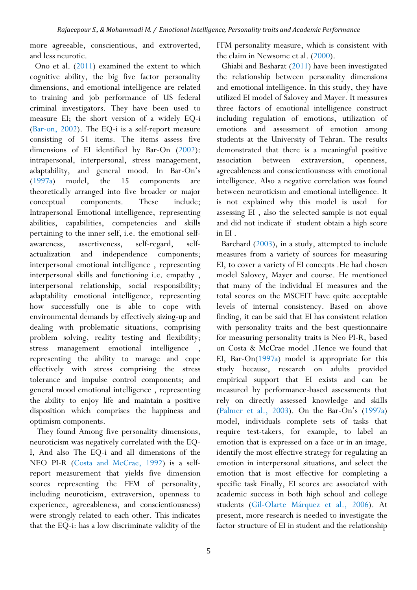more agreeable, conscientious, and extroverted, and less neurotic.

Ono et al. (2011) examined the extent to which cognitive ability, the big five factor personality dimensions, and emotional intelligence are related to training and job performance of US federal criminal investigators. They have been used to measure EI; the short version of a widely EQ-i (Bar-on, 2002). The EQ-i is a self-report measure consisting of 51 items. The items assess five dimensions of EI identified by Bar-On (2002): intrapersonal, interpersonal, stress management, adaptability, and general mood. In Bar-On's (1997a) model, the 15 components are theoretically arranged into five broader or major conceptual components. These include; Intrapersonal Emotional intelligence, representing abilities, capabilities, competencies and skills pertaining to the inner self, i.e. the emotional selfawareness, assertiveness, self-regard, selfactualization and independence components; interpersonal emotional intelligence , representing interpersonal skills and functioning i.e. empathy , interpersonal relationship, social responsibility; adaptability emotional intelligence, representing how successfully one is able to cope with environmental demands by effectively sizing-up and dealing with problematic situations, comprising problem solving, reality testing and flexibility; stress management emotional intelligence , representing the ability to manage and cope effectively with stress comprising the stress tolerance and impulse control components; and general mood emotional intelligence , representing the ability to enjoy life and maintain a positive disposition which comprises the happiness and optimism components.

 They found Among five personality dimensions, neuroticism was negatively correlated with the EQ-I, And also The EQ-i and all dimensions of the NEO PI-R (Costa and McCrae, 1992) is a selfreport measurement that yields five dimension scores representing the FFM of personality, including neuroticism, extraversion, openness to experience, agreeableness, and conscientiousness) were strongly related to each other. This indicates that the EQ-i: has a low discriminate validity of the

FFM personality measure, which is consistent with the claim in Newsome et al. (2000).

Ghiabi and Besharat (2011) have been investigated the relationship between personality dimensions and emotional intelligence. In this study, they have utilized EI model of Salovey and Mayer. It measures three factors of emotional intelligence construct including regulation of emotions, utilization of emotions and assessment of emotion among students at the University of Tehran. The results demonstrated that there is a meaningful positive association between extraversion, openness, agreeableness and conscientiousness with emotional intelligence. Also a negative correlation was found between neuroticism and emotional intelligence. It is not explained why this model is used for assessing EI , also the selected sample is not equal and did not indicate if student obtain a high score in EI .

Barchard (2003), in a study, attempted to include measures from a variety of sources for measuring EI, to cover a variety of EI concepts .He had chosen model Salovey, Mayer and course. He mentioned that many of the individual EI measures and the total scores on the MSCEIT have quite acceptable levels of internal consistency. Based on above finding, it can be said that EI has consistent relation with personality traits and the best questionnaire for measuring personality traits is Neo PI-R, based on Costa & McCrae model .Hence we found that EI, Bar-On(1997a) model is appropriate for this study because, research on adults provided empirical support that EI exists and can be measured by performance-based assessments that rely on directly assessed knowledge and skills (Palmer et al., 2003). On the Bar-On's (1997a) model, individuals complete sets of tasks that require test-takers, for example, to label an emotion that is expressed on a face or in an image, identify the most effective strategy for regulating an emotion in interpersonal situations, and select the emotion that is most effective for completing a specific task Finally, EI scores are associated with academic success in both high school and college students (Gil-Olarte Márquez et al., 2006). At present, more research is needed to investigate the factor structure of EI in student and the relationship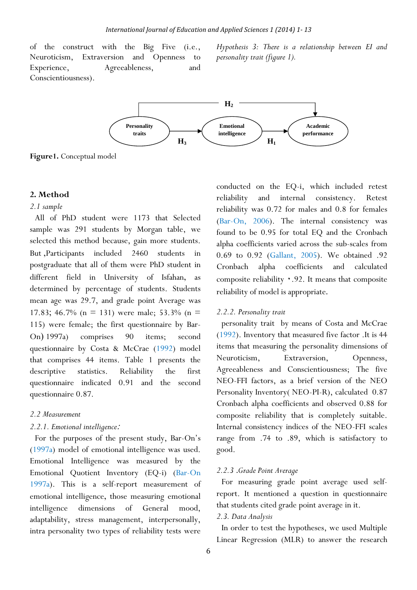of the construct with the Big Five (i.e., Neuroticism, Extraversion and Openness to Experience, Agreeableness, and Conscientiousness).

*Hypothesis 3: There is a relationship between EI and personality trait (figure 1).* 



**Figure1.** Conceptual model

#### **2. Method**

#### *2.1 sample*

All of PhD student were 1173 that Selected sample was 291 students by Morgan table, we selected this method because, gain more students. But ,Participants included 2460 students postgraduate that all of them were PhD student in different field in University of Isfahan, as determined by percentage of students. Students mean age was 29.7, and grade point Average was 17.83; 46.7% (n = 131) were male; 53.3% (n = 115) were female; the first questionnaire by Bar-On ) 1997a) comprises 90 items; second questionnaire by Costa & McCrae (1992) model that comprises 44 items. Table 1 presents the descriptive statistics. Reliability the first questionnaire indicated 0.91 and the second questionnaire 0.87.

#### *2.2 Measurement*

#### *2.2.1. Emotional intelligence*:

For the purposes of the present study, Bar-On's (1997a) model of emotional intelligence was used. Emotional Intelligence was measured by the Emotional Quotient Inventory (EQ-i) (Bar-On 1997a). This is a self-report measurement of emotional intelligence, those measuring emotional intelligence dimensions of General mood, adaptability, stress management, interpersonally, intra personality two types of reliability tests were

conducted on the EQ-i, which included retest reliability and internal consistency. Retest reliability was 0.72 for males and 0.8 for females (Bar-On, 2006). The internal consistency was found to be 0.95 for total EQ and the Cronbach alpha coefficients varied across the sub-scales from 0.69 to 0.92 (Gallant, 2005). We obtained .92 Cronbach alpha coefficients and calculated composite reliability ٠.92. It means that composite reliability of model is appropriate.

#### *2.2.2. Personality trait*

personality trait by means of Costa and McCrae (1992). Inventory that measured five factor .It is 44 items that measuring the personality dimensions of Neuroticism, Extraversion, Openness, Agreeableness and Conscientiousness; The five NEO-FFI factors, as a brief version of the NEO Personality Inventory( NEO-PI-R), calculated 0.87 Cronbach alpha coefficients and observed 0.88 for composite reliability that is completely suitable. Internal consistency indices of the NEO-FFI scales range from .74 to .89, which is satisfactory to good.

## *2.2.3* .*Grade Point Average*

For measuring grade point average used selfreport. It mentioned a question in questionnaire that students cited grade point average in it.

## *2.3. Data Analysis*

In order to test the hypotheses, we used Multiple Linear Regression (MLR) to answer the research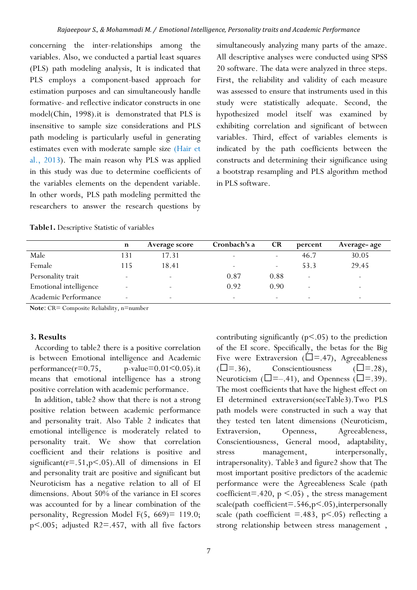concerning the inter-relationships among the variables. Also, we conducted a partial least squares (PLS) path modeling analysis, It is indicated that PLS employs a component-based approach for estimation purposes and can simultaneously handle formative- and reflective indicator constructs in one model(Chin, 1998).it is demonstrated that PLS is insensitive to sample size considerations and PLS path modeling is particularly useful in generating estimates even with moderate sample size (Hair et al., 2013). The main reason why PLS was applied in this study was due to determine coefficients of the variables elements on the dependent variable. In other words, PLS path modeling permitted the researchers to answer the research questions by

simultaneously analyzing many parts of the amaze. All descriptive analyses were conducted using SPSS 20 software. The data were analyzed in three steps. First, the reliability and validity of each measure was assessed to ensure that instruments used in this study were statistically adequate. Second, the hypothesized model itself was examined by exhibiting correlation and significant of between variables. Third, effect of variables elements is indicated by the path coefficients between the constructs and determining their significance using a bootstrap resampling and PLS algorithm method in PLS software.

|                        | n    | Average score            | Cronbach's a             | <b>CR</b>                | percent | Average- age             |
|------------------------|------|--------------------------|--------------------------|--------------------------|---------|--------------------------|
| Male                   | l 31 | 17.31                    | $\overline{\phantom{a}}$ | -                        | 46.7    | 30.05                    |
| Female                 | l 15 | 18.41                    | $\overline{\phantom{0}}$ | $\overline{\phantom{a}}$ | 53.3    | 29.45                    |
| Personality trait      |      | -                        | 0.87                     | 0.88                     |         | $\overline{\phantom{0}}$ |
| Emotional intelligence |      |                          | 0.92                     | 0.90                     |         | $\overline{\phantom{0}}$ |
| Academic Performance   |      | $\overline{\phantom{0}}$ | $\overline{\phantom{0}}$ | -                        |         | $\overline{\phantom{0}}$ |

**Table1.** Descriptive Statistic of variables

**Note**: CR= Composite Reliability, n=number

## **3. Results**

According to table2 there is a positive correlation is between Emotional intelligence and Academic performance( $r=0.75$ , p-value= $0.01<0.05$ ).it means that emotional intelligence has a strong positive correlation with academic performance.

In addition, table2 show that there is not a strong positive relation between academic performance and personality trait. Also Table 2 indicates that emotional intelligence is moderately related to personality trait. We show that correlation coefficient and their relations is positive and significant( $r = .51$ , $p < .05$ ).All of dimensions in EI and personality trait are positive and significant but Neuroticism has a negative relation to all of EI dimensions. About 50% of the variance in EI scores was accounted for by a linear combination of the personality, Regression Model F(5, 669)= 119.0; p<.005; adjusted R2=.457, with all five factors

contributing significantly  $(p<0.05)$  to the prediction of the EI score. Specifically, the betas for the Big Five were Extraversion ( $\square$ =.47), Agreeableness  $(\Box = .36)$ , Conscientiousness  $(\Box = .28)$ , Neuroticism ( $\square = -0.41$ ), and Openness ( $\square = 0.39$ ). The most coefficients that have the highest effect on EI determined extraversion(seeTable3).Two PLS path models were constructed in such a way that they tested ten latent dimensions (Neuroticism, Extraversion, Openness, Agreeableness, Conscientiousness, General mood, adaptability, stress management, interpersonally, intrapersonality). Table3 and figure2 show that The most important positive predictors of the academic performance were the Agreeableness Scale (path coefficient=.420,  $p \le 0.05$ ), the stress management scale(path coefficient=.546,p<.05),interpersonally scale (path coefficient  $=$  483, p $\leq$  05) reflecting a strong relationship between stress management ,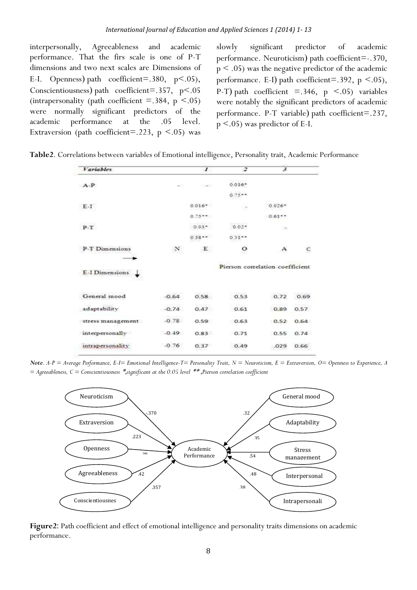interpersonally, Agreeableness and academic performance. That the firs scale is one of P-T dimensions and two next scales are Dimensions of E-I. Openness) path coefficient=.380,  $p < .05$ ), Conscientiousness) path coefficient=.357,  $p < .05$ (intrapersonality (path coefficient  $=$  .384, p  $\le$  .05) were normally significant predictors of the academic performance at the .05 level. Extraversion (path coefficient=.223,  $p \le .05$ ) was

slowly significant predictor of academic performance. Neuroticism) path coefficient=-.370,  $p < .05$ ) was the negative predictor of the academic performance. E-I) path coefficient=.392,  $p < .05$ ), P-T) path coefficient  $=$  346, p  $\leq$  05) variables were notably the significant predictors of academic performance. P-T variable) path coefficient=.237, p <.05) was predictor of E-I.

**Table2**. Correlations between variables of Emotional intelligence, Personality trait, Academic Performance

| <b>Variables</b>  |         | $\boldsymbol{\mathcal{I}}$ | 2                               | $\overline{\mathcal{L}}$ |      |
|-------------------|---------|----------------------------|---------------------------------|--------------------------|------|
| $A-P$             |         |                            | $0.016*$                        |                          |      |
|                   |         |                            | $0.75**$                        |                          |      |
| $E-1$             |         | $0.016*$                   |                                 | $0.026*$                 |      |
|                   |         | $0.75***$                  |                                 | $0.65**$                 |      |
| $P-T$             |         | $0.03*$                    | $0.02*$                         | $-$                      |      |
|                   |         | $0.38**$                   | $0.31**$                        |                          |      |
| P-T Dimensions    | N       | E                          | $\circ$                         | А                        |      |
|                   |         |                            |                                 |                          |      |
| E-I Dimensions    |         |                            | Pierson correlation coefficient |                          |      |
| General mood      | $-0.64$ | 0.58                       | 0.53                            | 0.72                     | 0.69 |
| adaptability      | $-0.74$ | 0.47                       | 0.61                            | 0.89                     | 0.57 |
| stress management | $-0.78$ | 0.59                       | 0.63                            | 0.52                     | 0.64 |
| interpersonally   | $-0.49$ | 0.83                       | 0.71                            | 0.55                     | 0.74 |
| intrapersonality  | $-0.76$ | 0.37                       | 0.49                            | .029                     | 0.66 |
|                   |         |                            |                                 |                          |      |

*Note. A-P = Average Performance, E-I= Emotional Intelligence-T= Personality Trait, N = Neuroticism, E = Extraversion, O= Openness to Experience, A = Agreeableness, C = Conscientiousness* , \* *significant at the 0.05 level* , \*\* *Pierson correlation coefficient*



**Figure2**: Path coefficient and effect of emotional intelligence and personality traits dimensions on academic performance.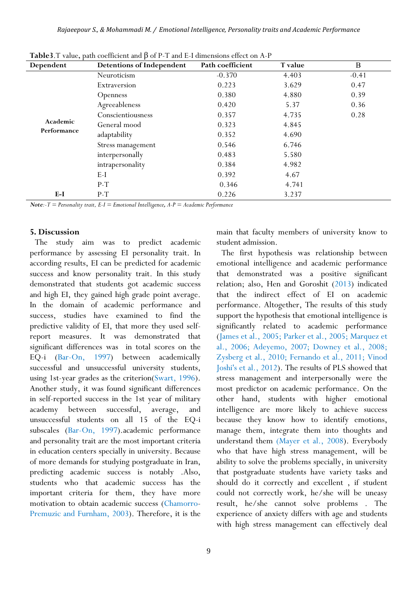| Dependent               | <b>Detentions of Independent</b> | Path coefficient | T value | B       |
|-------------------------|----------------------------------|------------------|---------|---------|
| Academic<br>Performance | Neuroticism                      | $-0.370$         | 4.403   | $-0.41$ |
|                         | Extraversion                     | 0.223            | 3.629   | 0.47    |
|                         | Openness                         | 0.380            | 4.880   | 0.39    |
|                         | Agreeableness                    | 0.420            | 5.37    | 0.36    |
|                         | Conscientiousness                | 0.357            | 4.735   | 0.28    |
|                         | General mood                     | 0.323            | 4.845   |         |
|                         | adaptability                     | 0.352            | 4.690   |         |
|                         | Stress management                | 0.546            | 6.746   |         |
|                         | interpersonally                  | 0.483            | 5.580   |         |
|                         | intrapersonality                 | 0.384            | 4.982   |         |
|                         | $E-I$                            | 0.392            | 4.67    |         |
|                         | $P-T$                            | 0.346            | 4.741   |         |
| $E-I$                   | $P-T$                            | 0.226            | 3.237   |         |

**Table3**.T value, path coefficient and β of P-T and E-I dimensions effect on A-P

*Note:-T = Personality trait, E-I = Emotional Intelligence*, *A-P = Academic Performance* 

#### **5. Discussion**

The study aim was to predict academic performance by assessing EI personality trait. In according results, EI can be predicted for academic success and know personality trait. In this study demonstrated that students got academic success and high EI, they gained high grade point average. In the domain of academic performance and success, studies have examined to find the predictive validity of EI, that more they used selfreport measures. It was demonstrated that significant differences was in total scores on the EQ-i (Bar-On, 1997) between academically successful and unsuccessful university students, using 1st-year grades as the criterion(Swart, 1996). Another study, it was found significant differences in self-reported success in the 1st year of military academy between successful, average, and unsuccessful students on all 15 of the EQ-i subscales (Bar-On, 1997).academic performance and personality trait are the most important criteria in education centers specially in university. Because of more demands for studying postgraduate in Iran, predicting academic success is notably .Also, students who that academic success has the important criteria for them, they have more motivation to obtain academic success (Chamorro-Premuzic and Furnham, 2003). Therefore, it is the

main that faculty members of university know to student admission.

The first hypothesis was relationship between emotional intelligence and academic performance that demonstrated was a positive significant relation; also, Hen and Goroshit (2013) indicated that the indirect effect of EI on academic performance. Altogether, The results of this study support the hypothesis that emotional intelligence is significantly related to academic performance (James et al., 2005; Parker et al., 2005; Marquez et al., 2006; Adeyemo, 2007; Downey et al., 2008; Zysberg et al., 2010; Fernando et al., 2011; Vinod Joshi's et al., 2012). The results of PLS showed that stress management and interpersonally were the most predictor on academic performance. On the other hand, students with higher emotional intelligence are more likely to achieve success because they know how to identify emotions, manage them, integrate them into thoughts and understand them (Mayer et al., 2008). Everybody who that have high stress management, will be ability to solve the problems specially, in university that postgraduate students have variety tasks and should do it correctly and excellent , if student could not correctly work, he/she will be uneasy result, he/she cannot solve problems . The experience of anxiety differs with age and students with high stress management can effectively deal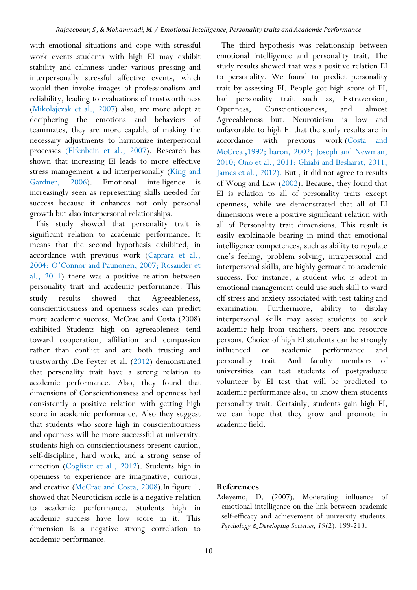with emotional situations and cope with stressful work events .students with high EI may exhibit stability and calmness under various pressing and interpersonally stressful affective events, which would then invoke images of professionalism and reliability, leading to evaluations of trustworthiness (Mikolajczak et al., 2007) also, are more adept at deciphering the emotions and behaviors of teammates, they are more capable of making the necessary adjustments to harmonize interpersonal processes (Elfenbein et al., 2007). Research has shown that increasing EI leads to more effective stress management a nd interpersonally (King and Gardner, 2006). Emotional intelligence increasingly seen as representing skills needed for success because it enhances not only personal growth but also interpersonal relationships.

This study showed that personality trait is significant relation to academic performance. It means that the second hypothesis exhibited, in accordance with previous work (Caprara et al., 2004; O'Connor and Paunonen, 2007; Rosander et al., 2011) there was a positive relation between personality trait and academic performance. This study results showed that Agreeableness, conscientiousness and openness scales can predict more academic success. McCrae and Costa (2008) exhibited Students high on agreeableness tend toward cooperation, affiliation and compassion rather than conflict and are both trusting and trustworthy .De Feyter et al. (2012) demonstrated that personality trait have a strong relation to academic performance. Also, they found that dimensions of Conscientiousness and openness had consistently a positive relation with getting high score in academic performance. Also they suggest that students who score high in conscientiousness and openness will be more successful at university. students high on conscientiousness present caution, self-discipline, hard work, and a strong sense of direction (Cogliser et al., 2012). Students high in openness to experience are imaginative, curious, and creative (McCrae and Costa, 2008).In figure 1, showed that Neuroticism scale is a negative relation to academic performance. Students high in academic success have low score in it. This dimension is a negative strong correlation to academic performance.

The third hypothesis was relationship between emotional intelligence and personality trait. The study results showed that was a positive relation EI to personality. We found to predict personality trait by assessing EI. People got high score of EI, had personality trait such as, Extraversion, Openness, Conscientiousness, and almost Agreeableness but. Neuroticism is low and unfavorable to high EI that the study results are in accordance with previous work (Costa and McCrea ,1992; baron, 2002; Joseph and Newman, 2010; Ono et al., 2011; Ghiabi and Besharat, 2011; James et al., 2012). But , it did not agree to results of Wong and Law (2002). Because, they found that EI is relation to all of personality traits except openness, while we demonstrated that all of EI dimensions were a positive significant relation with all of Personality trait dimensions. This result is easily explainable bearing in mind that emotional intelligence competences, such as ability to regulate one's feeling, problem solving, intrapersonal and interpersonal skills, are highly germane to academic success. For instance, a student who is adept in emotional management could use such skill to ward off stress and anxiety associated with test-taking and examination. Furthermore, ability to display interpersonal skills may assist students to seek academic help from teachers, peers and resource persons. Choice of high EI students can be strongly influenced on academic performance and personality trait. And faculty members of universities can test students of postgraduate volunteer by EI test that will be predicted to academic performance also, to know them students personality trait. Certainly, students gain high EI, we can hope that they grow and promote in academic field.

#### **References**

Adeyemo, D. (2007). Moderating influence of emotional intelligence on the link between academic self-efficacy and achievement of university students. *Psychology & Developing Societies, 19*(2), 199-213.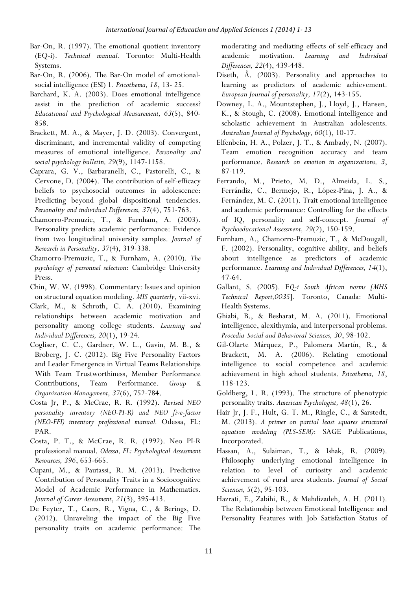- Bar-On, R. (1997). The emotional quotient inventory (EQ-i). *Technical manual.* Toronto: Multi-Health Systems.
- Bar-On, R. (2006). The Bar-On model of emotionalsocial intelligence (ESI) 1. *Psicothema, 18*, 13- 25.
- Barchard, K. A. (2003). Does emotional intelligence assist in the prediction of academic success? *Educational and Psychological Measurement, 63*(5), 840- 858.
- Brackett, M. A., & Mayer, J. D. (2003). Convergent, discriminant, and incremental validity of competing measures of emotional intelligence. *Personality and social psychology bulletin, 29*(9), 1147-1158.
- Caprara, G. V., Barbaranelli, C., Pastorelli, C., & Cervone, D. (2004). The contribution of self-efficacy beliefs to psychosocial outcomes in adolescence: Predicting beyond global dispositional tendencies. *Personality and individual Differences, 37*(4), 751-763.
- Chamorro-Premuzic, T., & Furnham, A. (2003). Personality predicts academic performance: Evidence from two longitudinal university samples. *Journal of Research in Personality, 37*(4), 319-338.
- Chamorro-Premuzic, T., & Furnham, A. (2010). *The psychology of personnel selection*: Cambridge University Press.
- Chin, W. W. (1998). Commentary: Issues and opinion on structural equation modeling. *MIS quarterly*, vii-xvi.
- Clark, M., & Schroth, C. A. (2010). Examining relationships between academic motivation and personality among college students. *Learning and Individual Differences, 20*(1), 19-24.
- Cogliser, C. C., Gardner, W. L., Gavin, M. B., & Broberg, J. C. (2012). Big Five Personality Factors and Leader Emergence in Virtual Teams Relationships With Team Trustworthiness, Member Performance Contributions, Team Performance. *Group & Organization Management, 37*(6), 752-784.
- Costa Jr, P., & McCrae, R. R. (1992). *Revised NEO personality inventory (NEO-PI-R) and NEO five-factor (NEO-FFI) inventory professional manual.* Odessa, FL: PAR.
- Costa, P. T., & McCrae, R. R. (1992). Neo PI-R professional manual. *Odessa, FL: Psychological Assessment Resources, 396*, 653-665.
- Cupani, M., & Pautassi, R. M. (2013). Predictive Contribution of Personality Traits in a Sociocognitive Model of Academic Performance in Mathematics. *Journal of Career Assessment*, *21*(3), 395-413.
- De Feyter, T., Caers, R., Vigna, C., & Berings, D. (2012). Unraveling the impact of the Big Five personality traits on academic performance: The

moderating and mediating effects of self-efficacy and academic motivation. *Learning and Individual Differences, 22*(4), 439-448.

- Diseth, Å. (2003). Personality and approaches to learning as predictors of academic achievement. *European Journal of personality, 17*(2), 143-155.
- Downey, L. A., Mountstephen, J., Lloyd, J., Hansen, K., & Stough, C. (2008). Emotional intelligence and scholastic achievement in Australian adolescents. *Australian Journal of Psychology, 60*(1), 10-17.
- Elfenbein, H. A., Polzer, J. T., & Ambady, N. (2007). Team emotion recognition accuracy and team performance. *Research on emotion in organizations, 3*, 87-119.
- Ferrando, M., Prieto, M. D., Almeida, L. S., Ferrándiz, C., Bermejo, R., López-Pina, J. A., & Fernández, M. C. (2011). Trait emotional intelligence and academic performance: Controlling for the effects of IQ, personality and self-concept. *Journal of Psychoeducational Assessment, 29*(2), 150-159.
- Furnham, A., Chamorro-Premuzic, T., & McDougall, F. (2002). Personality, cognitive ability, and beliefs about intelligence as predictors of academic performance. *Learning and Individual Differences, 14*(1), 47-64.
- Gallant, S. (2005). E*Q-i South African norms [MHS Technical Report,0035*]. Toronto, Canada: Multi-Health Systems.
- Ghiabi, B., & Besharat, M. A. (2011). Emotional intelligence, alexithymia, and interpersonal problems. *Procedia-Social and Behavioral Sciences, 30*, 98-102.
- Gil-Olarte Márquez, P., Palomera Martín, R., & Brackett, M. A. (2006). Relating emotional intelligence to social competence and academic achievement in high school students. *Psicothema, 18*, 118-123.
- Goldberg, L. R. (1993). The structure of phenotypic personality traits. *American Psychologist, 48*(1), 26.
- Hair Jr, J. F., Hult, G. T. M., Ringle, C., & Sarstedt, M. (2013). *A primer on partial least squares structural equation modeling (PLS-SEM)*: SAGE Publications, Incorporated.
- Hassan, A., Sulaiman, T., & Ishak, R. (2009). Philosophy underlying emotional intelligence in relation to level of curiosity and academic achievement of rural area students. *Journal of Social Sciences, 5*(2), 95-103.
- Hazrati, E., Zabihi, R., & Mehdizadeh, A. H. (2011). The Relationship between Emotional Intelligence and Personality Features with Job Satisfaction Status of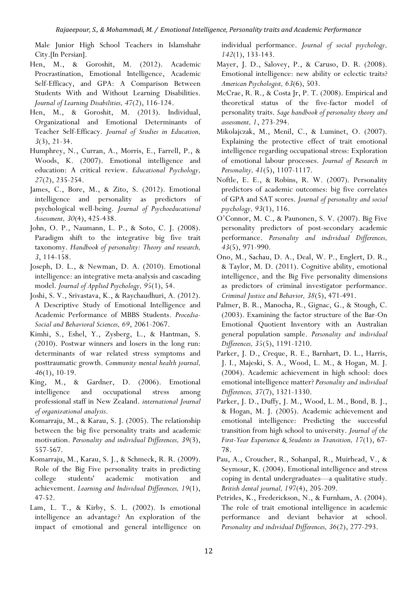Male Junior High School Teachers in Islamshahr City.[In Persian].

- Hen, M., & Goroshit, M. (2012). Academic Procrastination, Emotional Intelligence, Academic Self-Efficacy, and GPA: A Comparison Between Students With and Without Learning Disabilities. *Journal of Learning Disabilities, 47*(2), 116-124.
- Hen, M., & Goroshit, M. (2013). Individual, Organizational and Emotional Determinants of Teacher Self-Efficacy. *Journal of Studies in Education, 3*(3), 21-34.
- Humphrey, N., Curran, A., Morris, E., Farrell, P., & Woods, K. (2007). Emotional intelligence and education: A critical review. *Educational Psychology, 27*(2), 235-254.
- James, C., Bore, M., & Zito, S. (2012). Emotional intelligence and personality as predictors of psychological well-being. *Journal of Psychoeducational Assessment, 30*(4), 425-438.
- John, O. P., Naumann, L. P., & Soto, C. J. (2008). Paradigm shift to the integrative big five trait taxonomy. *Handbook of personality: Theory and research, 3*, 114-158.
- Joseph, D. L., & Newman, D. A. (2010). Emotional intelligence: an integrative meta-analysis and cascading model. *Journal of Applied Psychology, 95*(1), 54.
- Joshi, S. V., Srivastava, K., & Raychaudhuri, A. (2012). A Descriptive Study of Emotional Intelligence and Academic Performance of MBBS Students. *Procedia-Social and Behavioral Sciences, 69*, 2061-2067.
- Kimhi, S., Eshel, Y., Zysberg, L., & Hantman, S. (2010). Postwar winners and losers in the long run: determinants of war related stress symptoms and posttraumatic growth. *Community mental health journal, 46*(1), 10-19.
- King, M., & Gardner, D. (2006). Emotional intelligence and occupational stress among professional staff in New Zealand. *international Journal of organizational analysis*.
- Komarraju, M., & Karau, S. J. (2005). The relationship between the big five personality traits and academic motivation. *Personality and individual Differences, 39*(3), 557-567.
- Komarraju, M., Karau, S. J., & Schmeck, R. R. (2009). Role of the Big Five personality traits in predicting college students' academic motivation and achievement. *Learning and Individual Differences, 19*(1), 47-52.
- Lam, L. T., & Kirby, S. L. (2002). Is emotional intelligence an advantage? An exploration of the impact of emotional and general intelligence on

individual performance. *Journal of social psychology, 142*(1), 133-143.

- Mayer, J. D., Salovey, P., & Caruso, D. R. (2008). Emotional intelligence: new ability or eclectic traits? *American Psychologist, 63*(6), 503.
- McCrae, R. R., & Costa Jr, P. T. (2008). Empirical and theoretical status of the five-factor model of personality traits. *Sage handbook of personality theory and assessment, 1*, 273-294.
- Mikolajczak, M., Menil, C., & Luminet, O. (2007). Explaining the protective effect of trait emotional intelligence regarding occupational stress: Exploration of emotional labour processes. *Journal of Research in Personality, 41*(5), 1107-1117.
- Noftle, E. E., & Robins, R. W. (2007). Personality predictors of academic outcomes: big five correlates of GPA and SAT scores. *Journal of personality and social psychology, 93*(1), 116.
- O'Connor, M. C., & Paunonen, S. V. (2007). Big Five personality predictors of post-secondary academic performance. *Personality and individual Differences, 43*(5), 971-990.
- Ono, M., Sachau, D. A., Deal, W. P., Englert, D. R., & Taylor, M. D. (2011). Cognitive ability, emotional intelligence, and the Big Five personality dimensions as predictors of criminal investigator performance. *Criminal Justice and Behavior, 38*(5), 471-491.
- Palmer, B. R., Manocha, R., Gignac, G., & Stough, C. (2003). Examining the factor structure of the Bar-On Emotional Quotient Inventory with an Australian general population sample. *Personality and individual Differences, 35*(5), 1191-1210.
- Parker, J. D., Creque, R. E., Barnhart, D. L., Harris, J. I., Majeski, S. A., Wood, L. M., & Hogan, M. J. (2004). Academic achievement in high school: does emotional intelligence matter? *Personality and individual Differences, 37*(7), 1321-1330.
- Parker, J. D., Duffy, J. M., Wood, L. M., Bond, B. J., & Hogan, M. J. (2005). Academic achievement and emotional intelligence: Predicting the successful transition from high school to university. *Journal of the First-Year Experience & Students in Transition, 17*(1), 67- 78.
- Pau, A., Croucher, R., Sohanpal, R., Muirhead, V., & Seymour, K. (2004). Emotional intelligence and stress coping in dental undergraduates—a qualitative study. *British dental journal, 197*(4), 205-209.
- Petrides, K., Frederickson, N., & Furnham, A. (2004). The role of trait emotional intelligence in academic performance and deviant behavior at school. *Personality and individual Differences, 36*(2), 277-293.